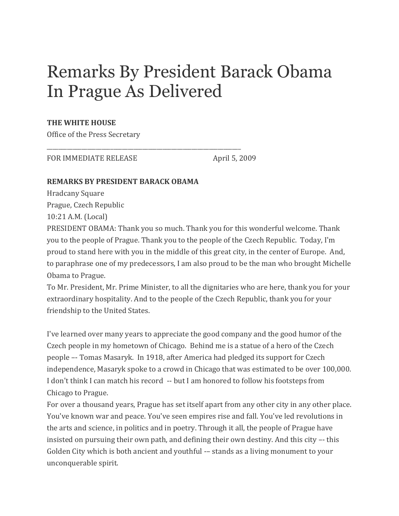## Remarks By President Barack Obama In Prague As Delivered

## **THE WHITE HOUSE**

Office of the Press Secretary

FOR IMMEDIATE RELEASE April 5, 2009

## **REMARKS BY PRESIDENT BARACK OBAMA**

\_\_\_\_\_\_\_\_\_\_\_\_\_\_\_\_\_\_\_\_\_\_\_\_\_\_\_\_\_\_\_\_\_\_\_\_\_\_\_\_\_\_\_\_\_\_\_\_\_\_\_\_\_\_\_\_\_\_\_\_\_\_\_\_\_\_\_

Hradcany Square Prague, Czech Republic 10:21 A.M. (Local)

PRESIDENT OBAMA: Thank you so much. Thank you for this wonderful welcome. Thank you to the people of Prague. Thank you to the people of the Czech Republic. Today, I'm proud to stand here with you in the middle of this great city, in the center of Europe. And, to paraphrase one of my predecessors, I am also proud to be the man who brought Michelle Obama to Prague.

To Mr. President, Mr. Prime Minister, to all the dignitaries who are here, thank you for your extraordinary hospitality. And to the people of the Czech Republic, thank you for your friendship to the United States.

I've learned over many years to appreciate the good company and the good humor of the Czech people in my hometown of Chicago. Behind me is a statue of a hero of the Czech people –- Tomas Masaryk. In 1918, after America had pledged its support for Czech independence, Masaryk spoke to a crowd in Chicago that was estimated to be over 100,000. I don't think I can match his record -- but I am honored to follow his footsteps from Chicago to Prague.

For over a thousand years, Prague has set itself apart from any other city in any other place. You've known war and peace. You've seen empires rise and fall. You've led revolutions in the arts and science, in politics and in poetry. Through it all, the people of Prague have insisted on pursuing their own path, and defining their own destiny. And this city –- this Golden City which is both ancient and youthful -– stands as a living monument to your unconquerable spirit.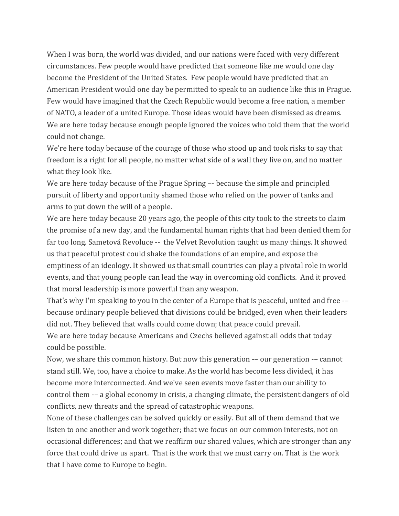When I was born, the world was divided, and our nations were faced with very different circumstances. Few people would have predicted that someone like me would one day become the President of the United States. Few people would have predicted that an American President would one day be permitted to speak to an audience like this in Prague. Few would have imagined that the Czech Republic would become a free nation, a member of NATO, a leader of a united Europe. Those ideas would have been dismissed as dreams. We are here today because enough people ignored the voices who told them that the world could not change.

We're here today because of the courage of those who stood up and took risks to say that freedom is a right for all people, no matter what side of a wall they live on, and no matter what they look like.

We are here today because of the Prague Spring –- because the simple and principled pursuit of liberty and opportunity shamed those who relied on the power of tanks and arms to put down the will of a people.

We are here today because 20 years ago, the people of this city took to the streets to claim the promise of a new day, and the fundamental human rights that had been denied them for far too long. Sametová Revoluce -- the Velvet Revolution taught us many things. It showed us that peaceful protest could shake the foundations of an empire, and expose the emptiness of an ideology. It showed us that small countries can play a pivotal role in world events, and that young people can lead the way in overcoming old conflicts. And it proved that moral leadership is more powerful than any weapon.

That's why I'm speaking to you in the center of a Europe that is peaceful, united and free -– because ordinary people believed that divisions could be bridged, even when their leaders did not. They believed that walls could come down; that peace could prevail.

We are here today because Americans and Czechs believed against all odds that today could be possible.

Now, we share this common history. But now this generation -– our generation -– cannot stand still. We, too, have a choice to make. As the world has become less divided, it has become more interconnected. And we've seen events move faster than our ability to control them -– a global economy in crisis, a changing climate, the persistent dangers of old conflicts, new threats and the spread of catastrophic weapons.

None of these challenges can be solved quickly or easily. But all of them demand that we listen to one another and work together; that we focus on our common interests, not on occasional differences; and that we reaffirm our shared values, which are stronger than any force that could drive us apart. That is the work that we must carry on. That is the work that I have come to Europe to begin.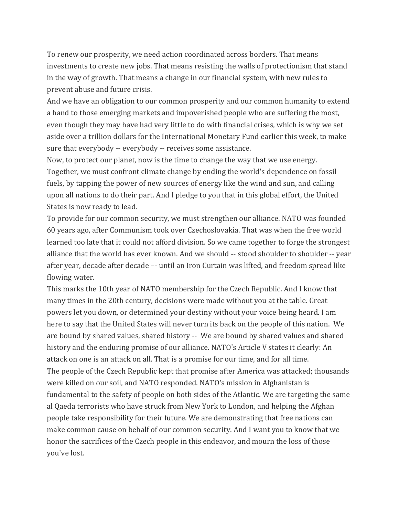To renew our prosperity, we need action coordinated across borders. That means investments to create new jobs. That means resisting the walls of protectionism that stand in the way of growth. That means a change in our financial system, with new rules to prevent abuse and future crisis.

And we have an obligation to our common prosperity and our common humanity to extend a hand to those emerging markets and impoverished people who are suffering the most, even though they may have had very little to do with financial crises, which is why we set aside over a trillion dollars for the International Monetary Fund earlier this week, to make sure that everybody -- everybody -- receives some assistance.

Now, to protect our planet, now is the time to change the way that we use energy. Together, we must confront climate change by ending the world's dependence on fossil fuels, by tapping the power of new sources of energy like the wind and sun, and calling upon all nations to do their part. And I pledge to you that in this global effort, the United States is now ready to lead.

To provide for our common security, we must strengthen our alliance. NATO was founded 60 years ago, after Communism took over Czechoslovakia. That was when the free world learned too late that it could not afford division. So we came together to forge the strongest alliance that the world has ever known. And we should -- stood shoulder to shoulder -- year after year, decade after decade –- until an Iron Curtain was lifted, and freedom spread like flowing water.

This marks the 10th year of NATO membership for the Czech Republic. And I know that many times in the 20th century, decisions were made without you at the table. Great powers let you down, or determined your destiny without your voice being heard. I am here to say that the United States will never turn its back on the people of this nation. We are bound by shared values, shared history -- We are bound by shared values and shared history and the enduring promise of our alliance. NATO's Article V states it clearly: An attack on one is an attack on all. That is a promise for our time, and for all time. The people of the Czech Republic kept that promise after America was attacked; thousands were killed on our soil, and NATO responded. NATO's mission in Afghanistan is fundamental to the safety of people on both sides of the Atlantic. We are targeting the same al Qaeda terrorists who have struck from New York to London, and helping the Afghan people take responsibility for their future. We are demonstrating that free nations can make common cause on behalf of our common security. And I want you to know that we honor the sacrifices of the Czech people in this endeavor, and mourn the loss of those you've lost.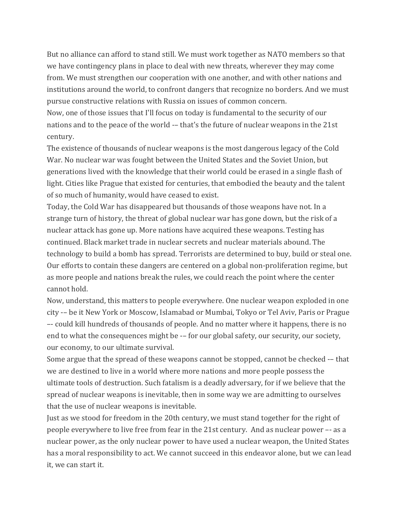But no alliance can afford to stand still. We must work together as NATO members so that we have contingency plans in place to deal with new threats, wherever they may come from. We must strengthen our cooperation with one another, and with other nations and institutions around the world, to confront dangers that recognize no borders. And we must pursue constructive relations with Russia on issues of common concern.

Now, one of those issues that I'll focus on today is fundamental to the security of our nations and to the peace of the world -– that's the future of nuclear weapons in the 21st century.

The existence of thousands of nuclear weapons is the most dangerous legacy of the Cold War. No nuclear war was fought between the United States and the Soviet Union, but generations lived with the knowledge that their world could be erased in a single flash of light. Cities like Prague that existed for centuries, that embodied the beauty and the talent of so much of humanity, would have ceased to exist.

Today, the Cold War has disappeared but thousands of those weapons have not. In a strange turn of history, the threat of global nuclear war has gone down, but the risk of a nuclear attack has gone up. More nations have acquired these weapons. Testing has continued. Black market trade in nuclear secrets and nuclear materials abound. The technology to build a bomb has spread. Terrorists are determined to buy, build or steal one. Our efforts to contain these dangers are centered on a global non-proliferation regime, but as more people and nations break the rules, we could reach the point where the center cannot hold.

Now, understand, this matters to people everywhere. One nuclear weapon exploded in one city -– be it New York or Moscow, Islamabad or Mumbai, Tokyo or Tel Aviv, Paris or Prague –- could kill hundreds of thousands of people. And no matter where it happens, there is no end to what the consequences might be -– for our global safety, our security, our society, our economy, to our ultimate survival.

Some argue that the spread of these weapons cannot be stopped, cannot be checked -– that we are destined to live in a world where more nations and more people possess the ultimate tools of destruction. Such fatalism is a deadly adversary, for if we believe that the spread of nuclear weapons is inevitable, then in some way we are admitting to ourselves that the use of nuclear weapons is inevitable.

Just as we stood for freedom in the 20th century, we must stand together for the right of people everywhere to live free from fear in the 21st century. And as nuclear power –- as a nuclear power, as the only nuclear power to have used a nuclear weapon, the United States has a moral responsibility to act. We cannot succeed in this endeavor alone, but we can lead it, we can start it.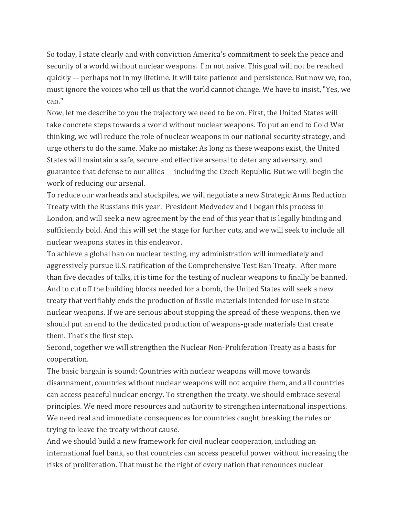So today, I state clearly and with conviction America's commitment to seek the peace and security of a world without nuclear weapons. I'm not naive. This goal will not be reached quickly –- perhaps not in my lifetime. It will take patience and persistence. But now we, too, must ignore the voices who tell us that the world cannot change. We have to insist, "Yes, we can."

Now, let me describe to you the trajectory we need to be on. First, the United States will take concrete steps towards a world without nuclear weapons. To put an end to Cold War thinking, we will reduce the role of nuclear weapons in our national security strategy, and urge others to do the same. Make no mistake: As long as these weapons exist, the United States will maintain a safe, secure and effective arsenal to deter any adversary, and guarantee that defense to our allies –- including the Czech Republic. But we will begin the work of reducing our arsenal.

To reduce our warheads and stockpiles, we will negotiate a new Strategic Arms Reduction Treaty with the Russians this year. President Medvedev and I began this process in London, and will seek a new agreement by the end of this year that is legally binding and sufficiently bold. And this will set the stage for further cuts, and we will seek to include all nuclear weapons states in this endeavor.

To achieve a global ban on nuclear testing, my administration will immediately and aggressively pursue U.S. ratification of the Comprehensive Test Ban Treaty. After more than five decades of talks, it is time for the testing of nuclear weapons to finally be banned. And to cut off the building blocks needed for a bomb, the United States will seek a new treaty that verifiably ends the production of fissile materials intended for use in state nuclear weapons. If we are serious about stopping the spread of these weapons, then we should put an end to the dedicated production of weapons-grade materials that create them. That's the first step.

Second, together we will strengthen the Nuclear Non-Proliferation Treaty as a basis for cooperation.

The basic bargain is sound: Countries with nuclear weapons will move towards disarmament, countries without nuclear weapons will not acquire them, and all countries can access peaceful nuclear energy. To strengthen the treaty, we should embrace several principles. We need more resources and authority to strengthen international inspections. We need real and immediate consequences for countries caught breaking the rules or trying to leave the treaty without cause.

And we should build a new framework for civil nuclear cooperation, including an international fuel bank, so that countries can access peaceful power without increasing the risks of proliferation. That must be the right of every nation that renounces nuclear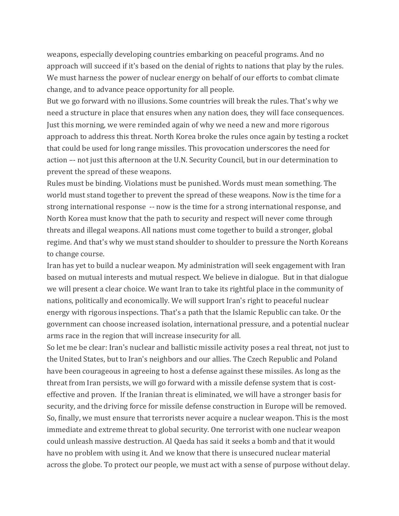weapons, especially developing countries embarking on peaceful programs. And no approach will succeed if it's based on the denial of rights to nations that play by the rules. We must harness the power of nuclear energy on behalf of our efforts to combat climate change, and to advance peace opportunity for all people.

But we go forward with no illusions. Some countries will break the rules. That's why we need a structure in place that ensures when any nation does, they will face consequences. Just this morning, we were reminded again of why we need a new and more rigorous approach to address this threat. North Korea broke the rules once again by testing a rocket that could be used for long range missiles. This provocation underscores the need for action –- not just this afternoon at the U.N. Security Council, but in our determination to prevent the spread of these weapons.

Rules must be binding. Violations must be punished. Words must mean something. The world must stand together to prevent the spread of these weapons. Now is the time for a strong international response -- now is the time for a strong international response, and North Korea must know that the path to security and respect will never come through threats and illegal weapons. All nations must come together to build a stronger, global regime. And that's why we must stand shoulder to shoulder to pressure the North Koreans to change course.

Iran has yet to build a nuclear weapon. My administration will seek engagement with Iran based on mutual interests and mutual respect. We believe in dialogue. But in that dialogue we will present a clear choice. We want Iran to take its rightful place in the community of nations, politically and economically. We will support Iran's right to peaceful nuclear energy with rigorous inspections. That's a path that the Islamic Republic can take. Or the government can choose increased isolation, international pressure, and a potential nuclear arms race in the region that will increase insecurity for all.

So let me be clear: Iran's nuclear and ballistic missile activity poses a real threat, not just to the United States, but to Iran's neighbors and our allies. The Czech Republic and Poland have been courageous in agreeing to host a defense against these missiles. As long as the threat from Iran persists, we will go forward with a missile defense system that is costeffective and proven. If the Iranian threat is eliminated, we will have a stronger basis for security, and the driving force for missile defense construction in Europe will be removed. So, finally, we must ensure that terrorists never acquire a nuclear weapon. This is the most immediate and extreme threat to global security. One terrorist with one nuclear weapon could unleash massive destruction. Al Qaeda has said it seeks a bomb and that it would have no problem with using it. And we know that there is unsecured nuclear material across the globe. To protect our people, we must act with a sense of purpose without delay.